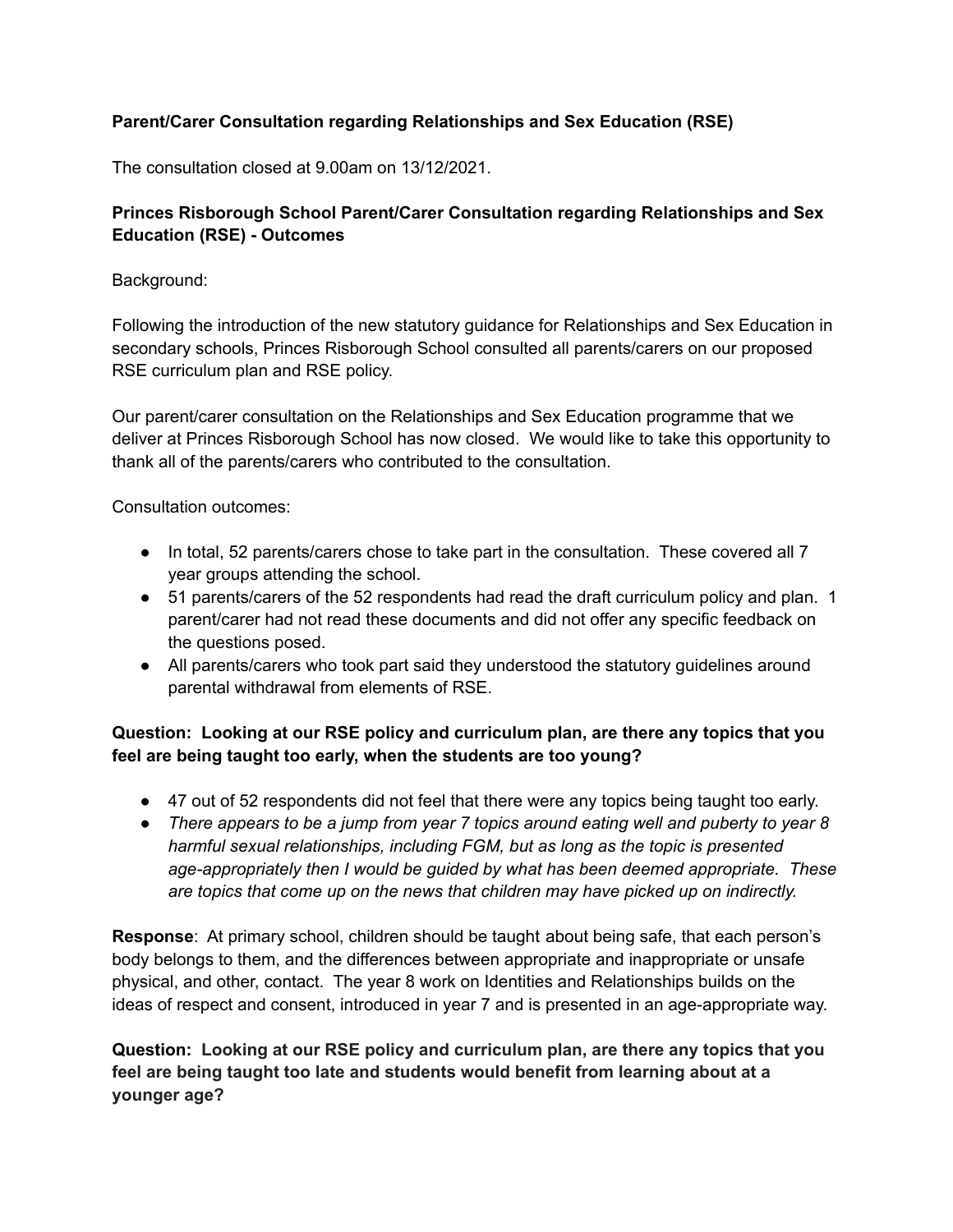## **Parent/Carer Consultation regarding Relationships and Sex Education (RSE)**

The consultation closed at 9.00am on 13/12/2021.

## **Princes Risborough School Parent/Carer Consultation regarding Relationships and Sex Education (RSE) - Outcomes**

#### Background:

Following the introduction of the new statutory guidance for Relationships and Sex Education in secondary schools, Princes Risborough School consulted all parents/carers on our proposed RSE curriculum plan and RSE policy.

Our parent/carer consultation on the Relationships and Sex Education programme that we deliver at Princes Risborough School has now closed. We would like to take this opportunity to thank all of the parents/carers who contributed to the consultation.

Consultation outcomes:

- In total, 52 parents/carers chose to take part in the consultation. These covered all 7 year groups attending the school.
- 51 parents/carers of the 52 respondents had read the draft curriculum policy and plan. 1 parent/carer had not read these documents and did not offer any specific feedback on the questions posed.
- All parents/carers who took part said they understood the statutory guidelines around parental withdrawal from elements of RSE.

# **Question: Looking at our RSE policy and curriculum plan, are there any topics that you feel are being taught too early, when the students are too young?**

- 47 out of 52 respondents did not feel that there were any topics being taught too early.
- *● There appears to be a jump from year 7 topics around eating well and puberty to year 8 harmful sexual relationships, including FGM, but as long as the topic is presented age-appropriately then I would be guided by what has been deemed appropriate. These are topics that come up on the news that children may have picked up on indirectly.*

**Response**: At primary school, children should be taught about being safe, that each person's body belongs to them, and the differences between appropriate and inappropriate or unsafe physical, and other, contact. The year 8 work on Identities and Relationships builds on the ideas of respect and consent, introduced in year 7 and is presented in an age-appropriate way.

**Question: Looking at our RSE policy and curriculum plan, are there any topics that you feel are being taught too late and students would benefit from learning about at a younger age?**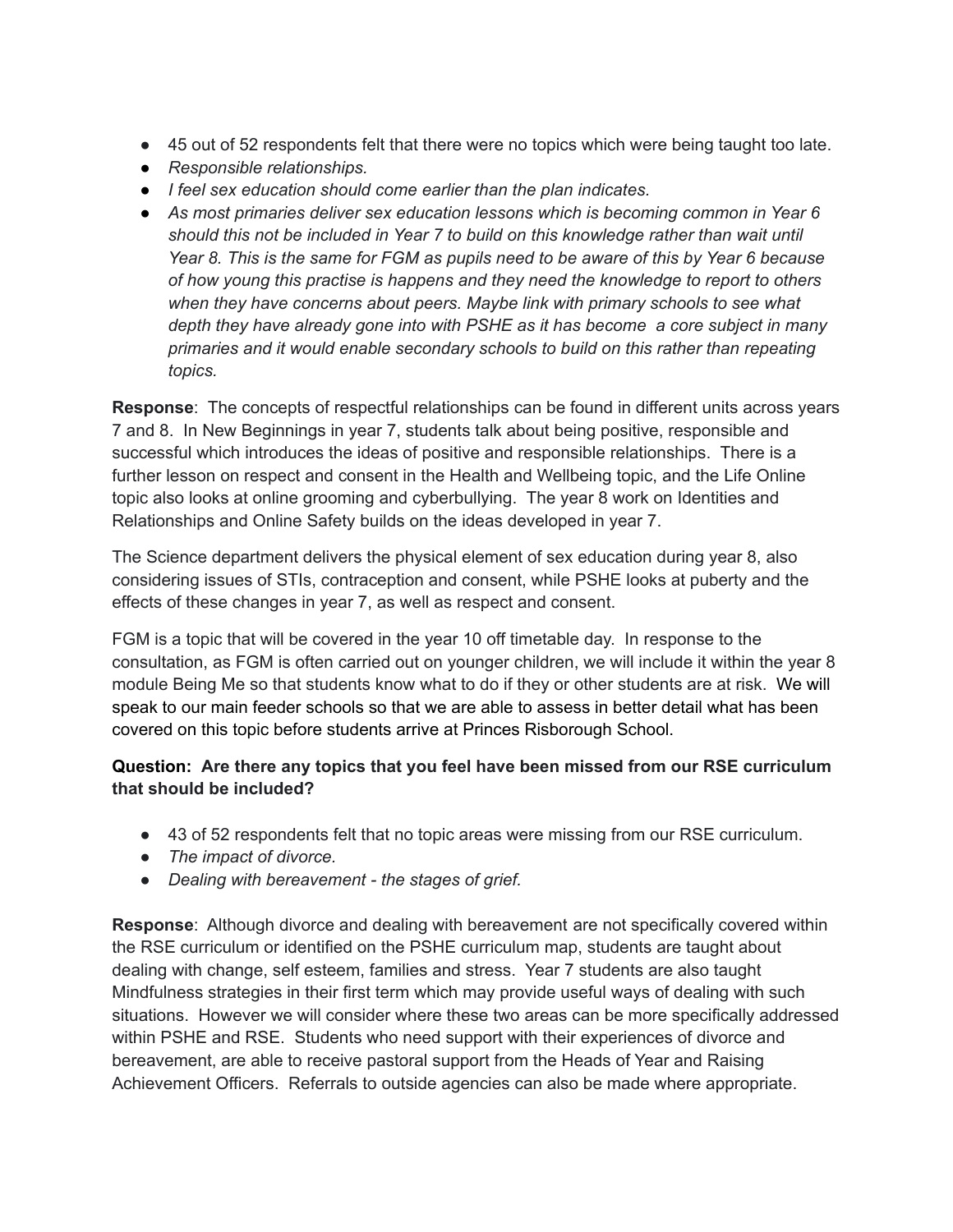- 45 out of 52 respondents felt that there were no topics which were being taught too late.
- *● Responsible relationships.*
- *● I feel sex education should come earlier than the plan indicates.*
- *● As most primaries deliver sex education lessons which is becoming common in Year 6 should this not be included in Year 7 to build on this knowledge rather than wait until* Year 8. This is the same for FGM as pupils need to be aware of this by Year 6 because *of how young this practise is happens and they need the knowledge to report to others when they have concerns about peers. Maybe link with primary schools to see what depth they have already gone into with PSHE as it has become a core subject in many primaries and it would enable secondary schools to build on this rather than repeating topics.*

**Response**: The concepts of respectful relationships can be found in different units across years 7 and 8. In New Beginnings in year 7, students talk about being positive, responsible and successful which introduces the ideas of positive and responsible relationships. There is a further lesson on respect and consent in the Health and Wellbeing topic, and the Life Online topic also looks at online grooming and cyberbullying. The year 8 work on Identities and Relationships and Online Safety builds on the ideas developed in year 7.

The Science department delivers the physical element of sex education during year 8, also considering issues of STIs, contraception and consent, while PSHE looks at puberty and the effects of these changes in year 7, as well as respect and consent.

FGM is a topic that will be covered in the year 10 off timetable day. In response to the consultation, as FGM is often carried out on younger children, we will include it within the year 8 module Being Me so that students know what to do if they or other students are at risk. We will speak to our main feeder schools so that we are able to assess in better detail what has been covered on this topic before students arrive at Princes Risborough School.

## **Question: Are there any topics that you feel have been missed from our RSE curriculum that should be included?**

- 43 of 52 respondents felt that no topic areas were missing from our RSE curriculum.
- *● The impact of divorce.*
- *● Dealing with bereavement - the stages of grief.*

**Response**: Although divorce and dealing with bereavement are not specifically covered within the RSE curriculum or identified on the PSHE curriculum map, students are taught about dealing with change, self esteem, families and stress. Year 7 students are also taught Mindfulness strategies in their first term which may provide useful ways of dealing with such situations. However we will consider where these two areas can be more specifically addressed within PSHE and RSE. Students who need support with their experiences of divorce and bereavement, are able to receive pastoral support from the Heads of Year and Raising Achievement Officers. Referrals to outside agencies can also be made where appropriate.